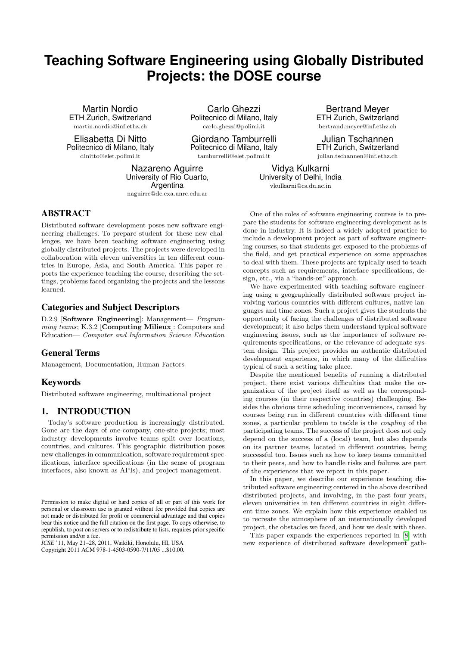# **Teaching Software Engineering using Globally Distributed Projects: the DOSE course**

Martin Nordio ETH Zurich, Switzerland martin.nordio@inf.ethz.ch

Elisabetta Di Nitto Politecnico di Milano, Italy dinitto@elet.polimi.it

Carlo Ghezzi Politecnico di Milano, Italy carlo.ghezzi@polimi.it

Giordano Tamburrelli Politecnico di Milano, Italy tamburrelli@elet.polimi.it

Nazareno Aguirre University of Rio Cuarto, Argentina naguirre@dc.exa.unrc.edu.ar

Julian Tschannen ETH Zurich, Switzerland julian.tschannen@inf.ethz.ch

Bertrand Meyer ETH Zurich, Switzerland bertrand.meyer@inf.ethz.ch

Vidya Kulkarni University of Delhi, India vkulkarni@cs.du.ac.in

# ABSTRACT

Distributed software development poses new software engineering challenges. To prepare student for these new challenges, we have been teaching software engineering using globally distributed projects. The projects were developed in collaboration with eleven universities in ten different countries in Europe, Asia, and South America. This paper reports the experience teaching the course, describing the settings, problems faced organizing the projects and the lessons learned.

# Categories and Subject Descriptors

D.2.9 [Software Engineering]: Management— Programming teams; K.3.2 [Computing Milieux]: Computers and Education— Computer and Information Science Education

## General Terms

Management, Documentation, Human Factors

## Keywords

Distributed software engineering, multinational project

# 1. INTRODUCTION

Today's software production is increasingly distributed. Gone are the days of one-company, one-site projects; most industry developments involve teams split over locations, countries, and cultures. This geographic distribution poses new challenges in communication, software requirement specifications, interface specifications (in the sense of program interfaces, also known as APIs), and project management.

*ICSE* '11, May 21–28, 2011, Waikiki, Honolulu, HI, USA Copyright 2011 ACM 978-1-4503-0590-7/11/05 ...\$10.00.

One of the roles of software engineering courses is to prepare the students for software engineering development as is done in industry. It is indeed a widely adopted practice to include a development project as part of software engineering courses, so that students get exposed to the problems of the field, and get practical experience on some approaches to deal with them. These projects are typically used to teach concepts such as requirements, interface specifications, design, etc., via a "hands-on" approach.

We have experimented with teaching software engineering using a geographically distributed software project involving various countries with different cultures, native languages and time zones. Such a project gives the students the opportunity of facing the challenges of distributed software development; it also helps them understand typical software engineering issues, such as the importance of software requirements specifications, or the relevance of adequate system design. This project provides an authentic distributed development experience, in which many of the difficulties typical of such a setting take place.

Despite the mentioned benefits of running a distributed project, there exist various difficulties that make the organization of the project itself as well as the corresponding courses (in their respective countries) challenging. Besides the obvious time scheduling inconveniences, caused by courses being run in different countries with different time zones, a particular problem to tackle is the coupling of the participating teams. The success of the project does not only depend on the success of a (local) team, but also depends on its partner teams, located in different countries, being successful too. Issues such as how to keep teams committed to their peers, and how to handle risks and failures are part of the experiences that we report in this paper.

In this paper, we describe our experience teaching distributed software engineering centered in the above described distributed projects, and involving, in the past four years, eleven universities in ten different countries in eight different time zones. We explain how this experience enabled us to recreate the atmosphere of an internationally developed project, the obstacles we faced, and how we dealt with these.

This paper expands the experiences reported in [\[8\]](#page-4-0) with new experience of distributed software development gath-

Permission to make digital or hard copies of all or part of this work for personal or classroom use is granted without fee provided that copies are not made or distributed for profit or commercial advantage and that copies bear this notice and the full citation on the first page. To copy otherwise, to republish, to post on servers or to redistribute to lists, requires prior specific permission and/or a fee.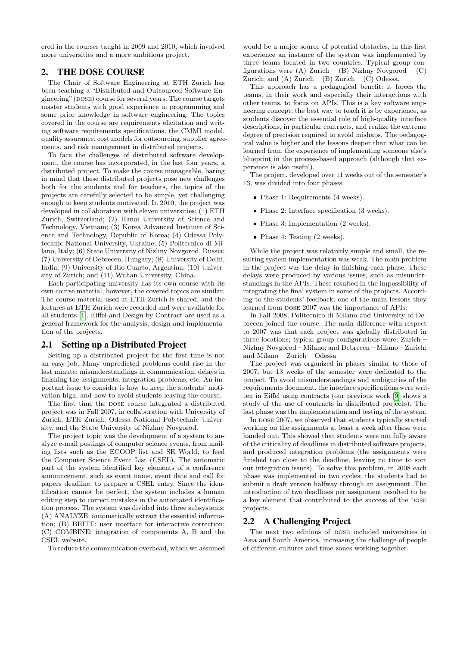ered in the courses taught in 2009 and 2010, which involved more universities and a more ambitious project.

# 2. THE DOSE COURSE

The Chair of Software Engineering at ETH Zurich has been teaching a "Distributed and Outsourced Software Engineering" (DOSE) course for several years. The course targets master students with good experience in programming and some prior knowledge in software engineering. The topics covered in the course are requirements elicitation and writing software requirements specifications, the CMMI model, quality assurance, cost models for outsourcing, supplier agreements, and risk management in distributed projects.

To face the challenges of distributed software development, the course has incorporated, in the last four years, a distributed project. To make the course manageable, baring in mind that these distributed projects pose new challenges both for the students and for teachers, the topics of the projects are carefully selected to be simple, yet challenging enough to keep students motivated. In 2010, the project was developed in collaboration with eleven universities: (1) ETH Zurich, Switzerland; (2) Hanoi University of Science and Technology, Vietnam; (3) Korea Advanced Institute of Science and Technology, Republic of Korea; (4) Odessa Polytechnic National University, Ukraine; (5) Politecnico di Milano, Italy; (6) State University of Nizhny Novgorod, Russia; (7) University of Debrecen, Hungary; (8) University of Delhi, India; (9) University of Rio Cuarto, Argentina; (10) University of Zurich; and (11) Wuhan University, China.

Each participating university has its own course with its own course material, however, the covered topics are similar. The course material used at ETH Zurich is shared, and the lectures at ETH Zurich were recorded and were available for all students [\[1\]](#page-4-1). Eiffel and Design by Contract are used as a general framework for the analysis, design and implementation of the projects.

# 2.1 Setting up a Distributed Project

Setting up a distributed project for the first time is not an easy job. Many unpredicted problems could rise in the last minute: misunderstandings in communication, delays in finishing the assignments, integration problems, etc. An important issue to consider is how to keep the students' motivation high, and how to avoid students leaving the course.

The first time the DOSE course integrated a distributed project was in Fall 2007, in collaboration with University of Zurich, ETH Zurich, Odessa National Polytechnic University, and the State University of Nizhny Novgorod.

The project topic was the development of a system to analyze e-mail postings of computer science events, from mailing lists such as the ECOOP list and SE World, to feed the Computer Science Event List (CSEL). The automatic part of the system identified key elements of a conference announcement, such as event name, event date and call for papers deadline, to prepare a CSEL entry. Since the identification cannot be perfect, the system includes a human editing step to correct mistakes in the automated identification process. The system was divided into three subsystems: (A) ANALYZE: automatically extract the essential information; (B) BEFIT: user interface for interactive correction; (C) COMBINE: integration of components A, B and the CSEL website.

To reduce the communication overhead, which we assumed

would be a major source of potential obstacles, in this first experience an instance of the system was implemented by three teams located in two countries. Typical group configurations were  $(A)$  Zurich –  $(B)$  Nizhny Novgorod –  $(C)$ Zurich; and  $(A)$  Zurich –  $(B)$  Zurich –  $(C)$  Odessa.

This approach has a pedagogical benefit: it forces the teams, in their work and especially their interactions with other teams, to focus on APIs. This is a key software engineering concept; the best way to teach it is by experience, as students discover the essential role of high-quality interface descriptions, in particular contracts, and realize the extreme degree of precision required to avoid mishaps. The pedagogical value is higher and the lessons deeper than what can be learned from the experience of implementing someone else's blueprint in the process-based approach (although that experience is also useful).

The project, developed over 11 weeks out of the semester's 13, was divided into four phases:

- Phase 1: Requirements (4 weeks).
- Phase 2: Interface specification (3 weeks).
- Phase 3: Implementation (2 weeks).
- Phase 4: Testing (2 weeks).

While the project was relatively simple and small, the resulting system implementation was weak. The main problem in the project was the delay in finishing each phase. These delays were produced by various issues, such as misunderstandings in the APIs. These resulted in the impossibility of integrating the final system in some of the projects. According to the students' feedback, one of the main lessons they learned from DOSE 2007 was the importance of APIs.

In Fall 2008, Politecnico di Milano and University of Debrecen joined the course. The main difference with respect to 2007 was that each project was globally distributed in three locations; typical group configurations were: Zurich – Nizhny Novgorod – Milano; and Debrecen – Milano – Zurich; and Milano – Zurich – Odessa

The project was organized in phases similar to those of 2007, but 13 weeks of the semester were dedicated to the project. To avoid misunderstandings and ambiguities of the requirements document, the interface specifications were written in Eiffel using contracts (our previous work [\[9\]](#page-4-2) shows a study of the use of contracts in distributed projects). The last phase was the implementation and testing of the system.

In dose 2007, we observed that students typically started working on the assignments at least a week after these were handed out. This showed that students were not fully aware of the criticality of deadlines in distributed software projects, and produced integration problems (the assignments were finished too close to the deadline, leaving no time to sort out integration issues). To solve this problem, in 2008 each phase was implemented in two cycles; the students had to submit a draft version halfway through an assignment. The introduction of two deadlines per assignment resulted to be a key element that contributed to the success of the DOSE projects.

# 2.2 A Challenging Project

The next two editions of DOSE included universities in Asia and South America, increasing the challenge of people of different cultures and time zones working together.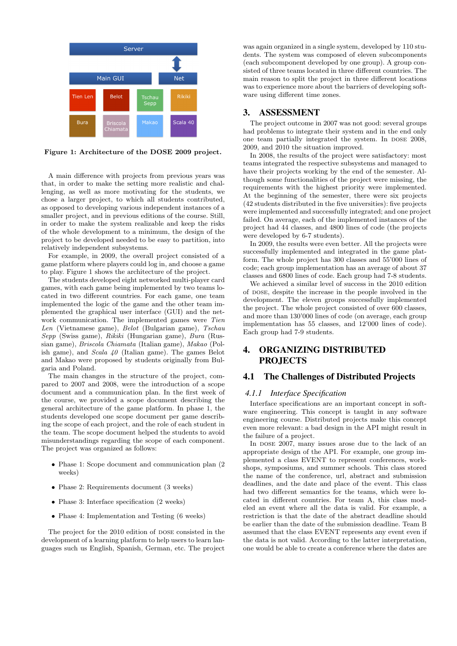

Figure 1: Architecture of the DOSE 2009 project.

A main difference with projects from previous years was that, in order to make the setting more realistic and challenging, as well as more motivating for the students, we chose a larger project, to which all students contributed, as opposed to developing various independent instances of a smaller project, and in previous editions of the course. Still, in order to make the system realizable and keep the risks of the whole development to a minimum, the design of the project to be developed needed to be easy to partition, into relatively independent subsystems.

For example, in 2009, the overall project consisted of a game platform where players could log in, and choose a game to play. Figure 1 shows the architecture of the project.

The students developed eight networked multi-player card games, with each game being implemented by two teams located in two different countries. For each game, one team implemented the logic of the game and the other team implemented the graphical user interface (GUI) and the network communication. The implemented games were Tien Len (Vietnamese game), Belot (Bulgarian game), Tschau Sepp (Swiss game), Rikiki (Hungarian game), Bura (Russian game), Briscola Chiamata (Italian game), Makao (Polish game), and Scala  $40$  (Italian game). The games Belot and Makao were proposed by students originally from Bulgaria and Poland.

The main changes in the structure of the project, compared to 2007 and 2008, were the introduction of a scope document and a communication plan. In the first week of the course, we provided a scope document describing the general architecture of the game platform. In phase 1, the students developed one scope document per game describing the scope of each project, and the role of each student in the team. The scope document helped the students to avoid misunderstandings regarding the scope of each component. The project was organized as follows:

- Phase 1: Scope document and communication plan (2 weeks)
- Phase 2: Requirements document (3 weeks)
- Phase 3: Interface specification (2 weeks)
- Phase 4: Implementation and Testing (6 weeks)

The project for the 2010 edition of DOSE consisted in the development of a learning platform to help users to learn languages such us English, Spanish, German, etc. The project

was again organized in a single system, developed by 110 students. The system was composed of eleven subcomponents (each subcomponent developed by one group). A group consisted of three teams located in three different countries. The main reason to split the project in three different locations was to experience more about the barriers of developing software using different time zones.

## 3. ASSESSMENT

The project outcome in 2007 was not good: several groups had problems to integrate their system and in the end only one team partially integrated the system. In pose 2008, 2009, and 2010 the situation improved.

In 2008, the results of the project were satisfactory: most teams integrated the respective subsystems and managed to have their projects working by the end of the semester. Although some functionalities of the project were missing, the requirements with the highest priority were implemented. At the beginning of the semester, there were six projects (42 students distributed in the five universities): five projects were implemented and successfully integrated; and one project failed. On average, each of the implemented instances of the project had 44 classes, and 4800 lines of code (the projects were developed by 6-7 students).

In 2009, the results were even better. All the projects were successfully implemented and integrated in the game platform. The whole project has 300 classes and 55'000 lines of code; each group implementation has an average of about 37 classes and 6800 lines of code. Each group had 7-8 students.

We achieved a similar level of success in the 2010 edition of dose, despite the increase in the people involved in the development. The eleven groups successfully implemented the project. The whole project consisted of over 600 classes, and more than 130'000 lines of code (on average, each group implementation has 55 classes, and 12'000 lines of code). Each group had 7-9 students.

# 4. ORGANIZING DISTRIBUTED PROJECTS

# 4.1 The Challenges of Distributed Projects

#### *4.1.1 Interface Specification*

Interface specifications are an important concept in software engineering. This concept is taught in any software engineering course. Distributed projects make this concept even more relevant: a bad design in the API might result in the failure of a project.

In DOSE 2007, many issues arose due to the lack of an appropriate design of the API. For example, one group implemented a class EVENT to represent conferences, workshops, symposiums, and summer schools. This class stored the name of the conference, url, abstract and submission deadlines, and the date and place of the event. This class had two different semantics for the teams, which were located in different countries. For team A, this class modeled an event where all the data is valid. For example, a restriction is that the date of the abstract deadline should be earlier than the date of the submission deadline. Team B assumed that the class EVENT represents any event even if the data is not valid. According to the latter interpretation, one would be able to create a conference where the dates are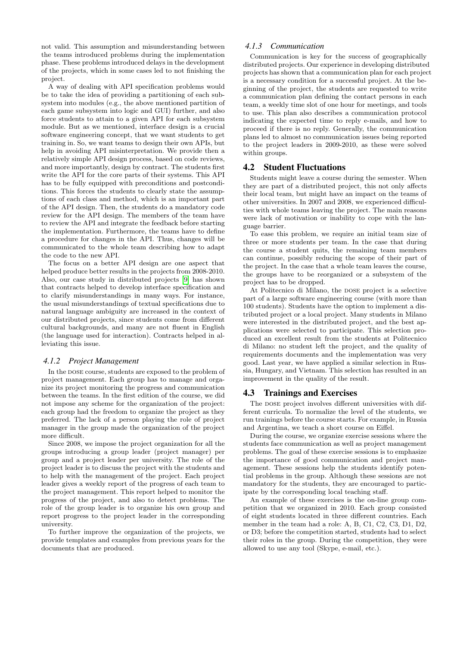not valid. This assumption and misunderstanding between the teams introduced problems during the implementation phase. These problems introduced delays in the development of the projects, which in some cases led to not finishing the project.

A way of dealing with API specification problems would be to take the idea of providing a partitioning of each subsystem into modules (e.g., the above mentioned partition of each game subsystem into logic and GUI) further, and also force students to attain to a given API for each subsystem module. But as we mentioned, interface design is a crucial software engineering concept, that we want students to get training in. So, we want teams to design their own APIs, but help in avoiding API misinterpretation. We provide then a relatively simple API design process, based on code reviews, and more importantly, design by contract. The students first write the API for the core parts of their systems. This API has to be fully equipped with preconditions and postconditions. This forces the students to clearly state the assumptions of each class and method, which is an important part of the API design. Then, the students do a mandatory code review for the API design. The members of the team have to review the API and integrate the feedback before starting the implementation. Furthermore, the teams have to define a procedure for changes in the API. Thus, changes will be communicated to the whole team describing how to adapt the code to the new API.

The focus on a better API design are one aspect that helped produce better results in the projects from 2008-2010. Also, our case study in distributed projects [\[9\]](#page-4-2) has shown that contracts helped to develop interface specification and to clarify misunderstandings in many ways. For instance, the usual misunderstandings of textual specifications due to natural language ambiguity are increased in the context of our distributed projects, since students come from different cultural backgrounds, and many are not fluent in English (the language used for interaction). Contracts helped in alleviating this issue.

#### *4.1.2 Project Management*

In the DOSE course, students are exposed to the problem of project management. Each group has to manage and organize its project monitoring the progress and communication between the teams. In the first edition of the course, we did not impose any scheme for the organization of the project: each group had the freedom to organize the project as they preferred. The lack of a person playing the role of project manager in the group made the organization of the project more difficult.

Since 2008, we impose the project organization for all the groups introducing a group leader (project manager) per group and a project leader per university. The role of the project leader is to discuss the project with the students and to help with the management of the project. Each project leader gives a weekly report of the progress of each team to the project management. This report helped to monitor the progress of the project, and also to detect problems. The role of the group leader is to organize his own group and report progress to the project leader in the corresponding university.

To further improve the organization of the projects, we provide templates and examples from previous years for the documents that are produced.

#### *4.1.3 Communication*

Communication is key for the success of geographically distributed projects. Our experience in developing distributed projects has shown that a communication plan for each project is a necessary condition for a successful project. At the beginning of the project, the students are requested to write a communication plan defining the contact persons in each team, a weekly time slot of one hour for meetings, and tools to use. This plan also describes a communication protocol indicating the expected time to reply e-mails, and how to proceed if there is no reply. Generally, the communication plans led to almost no communication issues being reported to the project leaders in 2009-2010, as these were solved within groups.

### 4.2 Student Fluctuations

Students might leave a course during the semester. When they are part of a distributed project, this not only affects their local team, but might have an impact on the teams of other universities. In 2007 and 2008, we experienced difficulties with whole teams leaving the project. The main reasons were lack of motivation or inability to cope with the language barrier.

To ease this problem, we require an initial team size of three or more students per team. In the case that during the course a student quits, the remaining team members can continue, possibly reducing the scope of their part of the project. In the case that a whole team leaves the course, the groups have to be reorganized or a subsystem of the project has to be dropped.

At Politecnico di Milano, the DOSE project is a selective part of a large software engineering course (with more than 100 students). Students have the option to implement a distributed project or a local project. Many students in Milano were interested in the distributed project, and the best applications were selected to participate. This selection produced an excellent result from the students at Politecnico di Milano: no student left the project, and the quality of requirements documents and the implementation was very good. Last year, we have applied a similar selection in Russia, Hungary, and Vietnam. This selection has resulted in an improvement in the quality of the result.

#### 4.3 Trainings and Exercises

The DOSE project involves different universities with different curricula. To normalize the level of the students, we run trainings before the course starts. For example, in Russia and Argentina, we teach a short course on Eiffel.

During the course, we organize exercise sessions where the students face communication as well as project management problems. The goal of these exercise sessions is to emphasize the importance of good communication and project management. These sessions help the students identify potential problems in the group. Although these sessions are not mandatory for the students, they are encouraged to participate by the corresponding local teaching staff.

An example of these exercises is the on-line group competition that we organized in 2010. Each group consisted of eight students located in three different countries. Each member in the team had a role: A, B, C1, C2, C3, D1, D2, or D3; before the competition started, students had to select their roles in the group. During the competition, they were allowed to use any tool (Skype, e-mail, etc.).